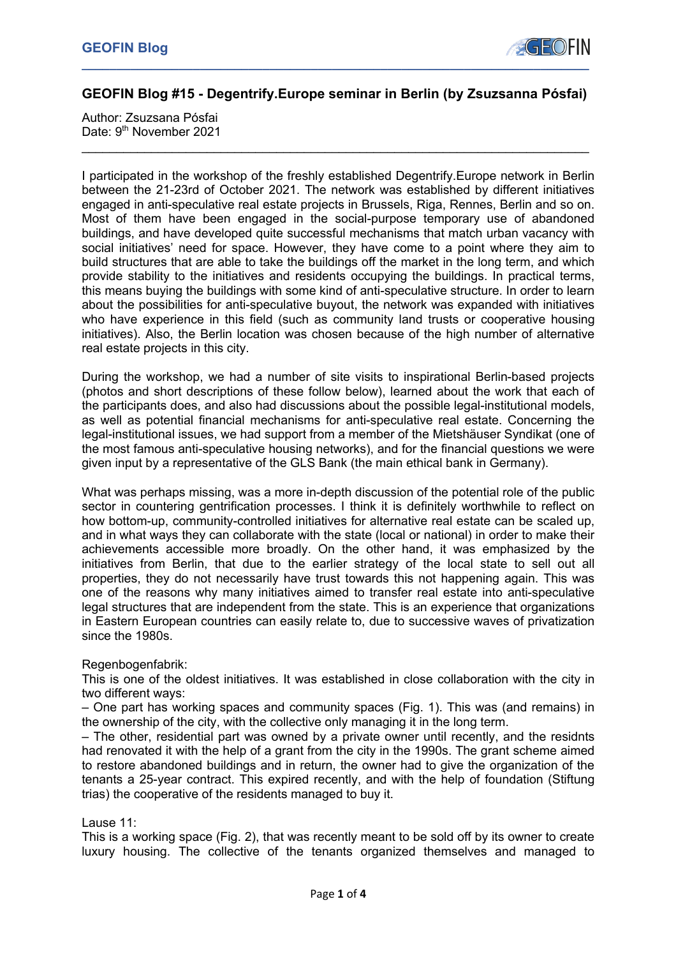

## **GEOFIN Blog #15 - Degentrify.Europe seminar in Berlin (by Zsuzsanna Pósfai)**

 $\mathcal{L}_\text{max} = \mathcal{L}_\text{max} = \mathcal{L}_\text{max} = \mathcal{L}_\text{max} = \mathcal{L}_\text{max} = \mathcal{L}_\text{max} = \mathcal{L}_\text{max} = \mathcal{L}_\text{max} = \mathcal{L}_\text{max} = \mathcal{L}_\text{max} = \mathcal{L}_\text{max} = \mathcal{L}_\text{max} = \mathcal{L}_\text{max} = \mathcal{L}_\text{max} = \mathcal{L}_\text{max} = \mathcal{L}_\text{max} = \mathcal{L}_\text{max} = \mathcal{L}_\text{max} = \mathcal{$ 

Author: Zsuzsana Pósfai Date: 9<sup>th</sup> November 2021

I participated in the workshop of the freshly established Degentrify.Europe network in Berlin between the 21-23rd of October 2021. The network was established by different initiatives engaged in anti-speculative real estate projects in Brussels, Riga, Rennes, Berlin and so on. Most of them have been engaged in the social-purpose temporary use of abandoned buildings, and have developed quite successful mechanisms that match urban vacancy with social initiatives' need for space. However, they have come to a point where they aim to build structures that are able to take the buildings off the market in the long term, and which provide stability to the initiatives and residents occupying the buildings. In practical terms, this means buying the buildings with some kind of anti-speculative structure. In order to learn about the possibilities for anti-speculative buyout, the network was expanded with initiatives who have experience in this field (such as community land trusts or cooperative housing initiatives). Also, the Berlin location was chosen because of the high number of alternative real estate projects in this city.

During the workshop, we had a number of site visits to inspirational Berlin-based projects (photos and short descriptions of these follow below), learned about the work that each of the participants does, and also had discussions about the possible legal-institutional models, as well as potential financial mechanisms for anti-speculative real estate. Concerning the legal-institutional issues, we had support from a member of the Mietshäuser Syndikat (one of the most famous anti-speculative housing networks), and for the financial questions we were given input by a representative of the GLS Bank (the main ethical bank in Germany).

What was perhaps missing, was a more in-depth discussion of the potential role of the public sector in countering gentrification processes. I think it is definitely worthwhile to reflect on how bottom-up, community-controlled initiatives for alternative real estate can be scaled up, and in what ways they can collaborate with the state (local or national) in order to make their achievements accessible more broadly. On the other hand, it was emphasized by the initiatives from Berlin, that due to the earlier strategy of the local state to sell out all properties, they do not necessarily have trust towards this not happening again. This was one of the reasons why many initiatives aimed to transfer real estate into anti-speculative legal structures that are independent from the state. This is an experience that organizations in Eastern European countries can easily relate to, due to successive waves of privatization since the 1980s.

### Regenbogenfabrik:

This is one of the oldest initiatives. It was established in close collaboration with the city in two different ways:

– One part has working spaces and community spaces (Fig. 1). This was (and remains) in the ownership of the city, with the collective only managing it in the long term.

– The other, residential part was owned by a private owner until recently, and the residnts had renovated it with the help of a grant from the city in the 1990s. The grant scheme aimed to restore abandoned buildings and in return, the owner had to give the organization of the tenants a 25-year contract. This expired recently, and with the help of foundation (Stiftung trias) the cooperative of the residents managed to buy it.

Lause 11:

This is a working space (Fig. 2), that was recently meant to be sold off by its owner to create luxury housing. The collective of the tenants organized themselves and managed to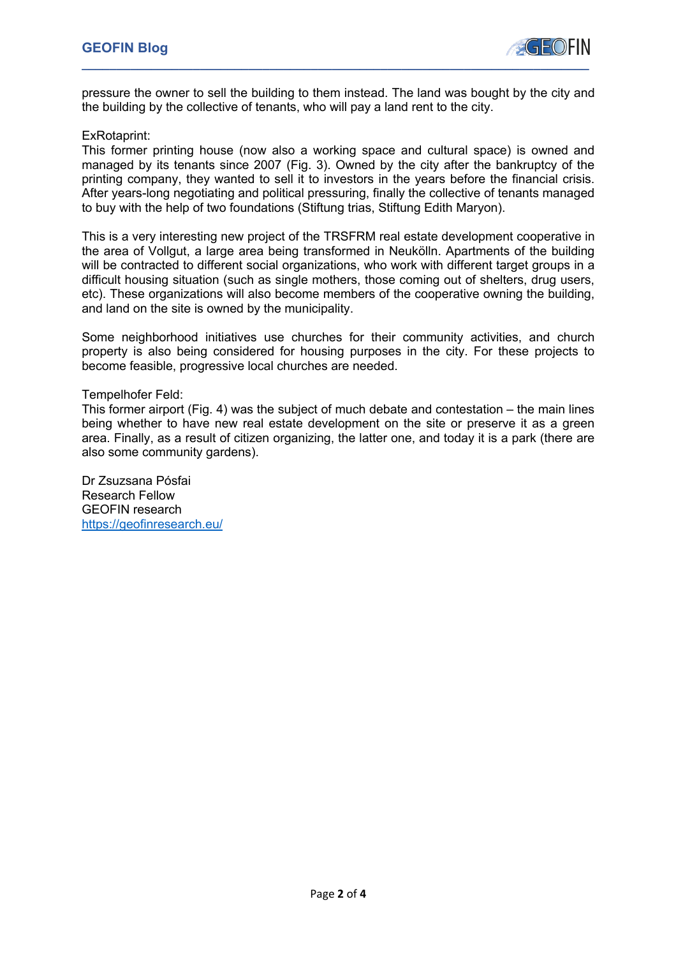

pressure the owner to sell the building to them instead. The land was bought by the city and the building by the collective of tenants, who will pay a land rent to the city.

### ExRotaprint:

This former printing house (now also a working space and cultural space) is owned and managed by its tenants since 2007 (Fig. 3). Owned by the city after the bankruptcy of the printing company, they wanted to sell it to investors in the years before the financial crisis. After years-long negotiating and political pressuring, finally the collective of tenants managed to buy with the help of two foundations (Stiftung trias, Stiftung Edith Maryon).

This is a very interesting new project of the TRSFRM real estate development cooperative in the area of Vollgut, a large area being transformed in Neukölln. Apartments of the building will be contracted to different social organizations, who work with different target groups in a difficult housing situation (such as single mothers, those coming out of shelters, drug users, etc). These organizations will also become members of the cooperative owning the building, and land on the site is owned by the municipality.

Some neighborhood initiatives use churches for their community activities, and church property is also being considered for housing purposes in the city. For these projects to become feasible, progressive local churches are needed.

### Tempelhofer Feld:

This former airport (Fig. 4) was the subject of much debate and contestation – the main lines being whether to have new real estate development on the site or preserve it as a green area. Finally, as a result of citizen organizing, the latter one, and today it is a park (there are also some community gardens).

Dr Zsuzsana Pósfai Research Fellow GEOFIN research https://geofinresearch.eu/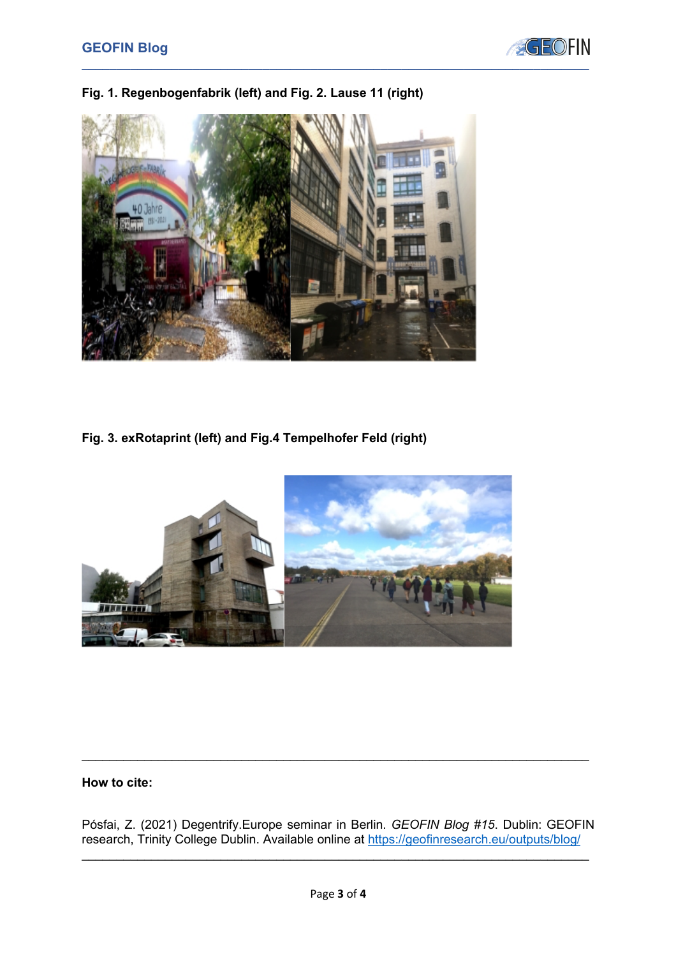



# **Fig. 1. Regenbogenfabrik (left) and Fig. 2. Lause 11 (right)**

**Fig. 3. exRotaprint (left) and Fig.4 Tempelhofer Feld (right)**



### **How to cite:**

Pósfai, Z. (2021) Degentrify.Europe seminar in Berlin. *GEOFIN Blog #15*. Dublin: GEOFIN research, Trinity College Dublin. Available online at https://geofinresearch.eu/outputs/blog/

 $\mathcal{L}_\text{max} = \mathcal{L}_\text{max} = \mathcal{L}_\text{max} = \mathcal{L}_\text{max} = \mathcal{L}_\text{max} = \mathcal{L}_\text{max} = \mathcal{L}_\text{max} = \mathcal{L}_\text{max} = \mathcal{L}_\text{max} = \mathcal{L}_\text{max} = \mathcal{L}_\text{max} = \mathcal{L}_\text{max} = \mathcal{L}_\text{max} = \mathcal{L}_\text{max} = \mathcal{L}_\text{max} = \mathcal{L}_\text{max} = \mathcal{L}_\text{max} = \mathcal{L}_\text{max} = \mathcal{$